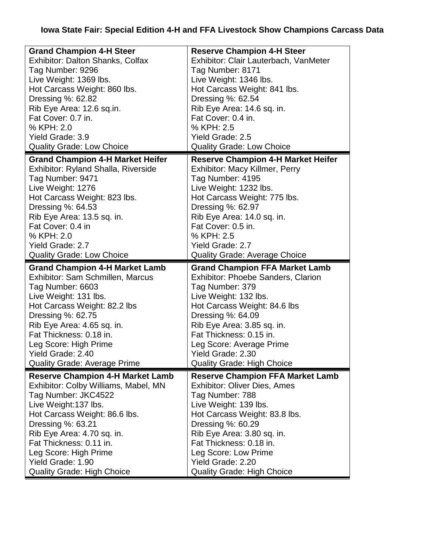## **Iowa State Fair: Special Edition 4-H and FFA Livestock Show Champions Carcass Data**

| <b>Grand Champion 4-H Steer</b>         | <b>Reserve Champion 4-H Steer</b>         |
|-----------------------------------------|-------------------------------------------|
| Exhibitor: Dalton Shanks, Colfax        | Exhibitor: Clair Lauterbach, VanMeter     |
| Tag Number: 9296                        | Tag Number: 8171                          |
| Live Weight: 1369 lbs.                  | Live Weight: 1346 lbs.                    |
| Hot Carcass Weight: 860 lbs.            | Hot Carcass Weight: 841 lbs.              |
| Dressing %: 62.82                       | Dressing %: 62.54                         |
| Rib Eye Area: 12.6 sq.in.               | Rib Eye Area: 14.6 sq. in.                |
| Fat Cover: 0.7 in.                      | Fat Cover: 0.4 in.                        |
| % KPH: 2.0                              | % KPH: 2.5                                |
| <b>Yield Grade: 3.9</b>                 | <b>Yield Grade: 2.5</b>                   |
| <b>Quality Grade: Low Choice</b>        | <b>Quality Grade: Low Choice</b>          |
| <b>Grand Champion 4-H Market Heifer</b> | <b>Reserve Champion 4-H Market Heifer</b> |
| Exhibitor: Ryland Shalla, Riverside     | Exhibitor: Macy Killmer, Perry            |
| Tag Number: 9471                        | Tag Number: 4195                          |
| Live Weight: 1276                       | Live Weight: 1232 lbs.                    |
| Hot Carcass Weight: 823 lbs.            | Hot Carcass Weight: 775 lbs.              |
| Dressing %: 64.53                       | Dressing %: 62.97                         |
| Rib Eye Area: 13.5 sq. in.              | Rib Eye Area: 14.0 sq. in.                |
| Fat Cover: 0.4 in                       | Fat Cover: 0.5 in.                        |
| % KPH: 2.0                              | % KPH: 2.5                                |
| <b>Yield Grade: 2.7</b>                 | <b>Yield Grade: 2.7</b>                   |
| <b>Quality Grade: Low Choice</b>        | <b>Quality Grade: Average Choice</b>      |
|                                         |                                           |
| <b>Grand Champion 4-H Market Lamb</b>   | <b>Grand Champion FFA Market Lamb</b>     |
| Exhibitor: Sam Schmillen, Marcus        | <b>Exhibitor: Phoebe Sanders, Clarion</b> |
| Tag Number: 6603                        | Tag Number: 379                           |
| Live Weight: 131 lbs.                   | Live Weight: 132 lbs.                     |
| Hot Carcass Weight: 82.2 lbs            | Hot Carcass Weight: 84.6 lbs              |
| Dressing %: 62.75                       | Dressing %: 64.09                         |
| Rib Eye Area: 4.65 sq. in.              | Rib Eye Area: 3.85 sq. in.                |
| Fat Thickness: 0.18 in.                 | Fat Thickness: 0.15 in.                   |
| Leg Score: High Prime                   | Leg Score: Average Prime                  |
| Yield Grade: 2.40                       | Yield Grade: 2.30                         |
| <b>Quality Grade: Average Prime</b>     | <b>Quality Grade: High Choice</b>         |
| <b>Reserve Champion 4-H Market Lamb</b> | <b>Reserve Champion FFA Market Lamb</b>   |
| Exhibitor: Colby Williams, Mabel, MN    | <b>Exhibitor: Oliver Dies, Ames</b>       |
| Tag Number: JKC4522                     | Tag Number: 788                           |
| Live Weight:137 lbs.                    | Live Weight: 139 lbs.                     |
| Hot Carcass Weight: 86.6 lbs.           | Hot Carcass Weight: 83.8 lbs.             |
| Dressing %: 63.21                       | Dressing %: 60.29                         |
| Rib Eye Area: 4.70 sq. in.              | Rib Eye Area: 3.80 sq. in.                |
| Fat Thickness: 0.11 in.                 | Fat Thickness: 0.18 in.                   |
| Leg Score: High Prime                   | Leg Score: Low Prime                      |
| Yield Grade: 1.90                       | Yield Grade: 2.20                         |